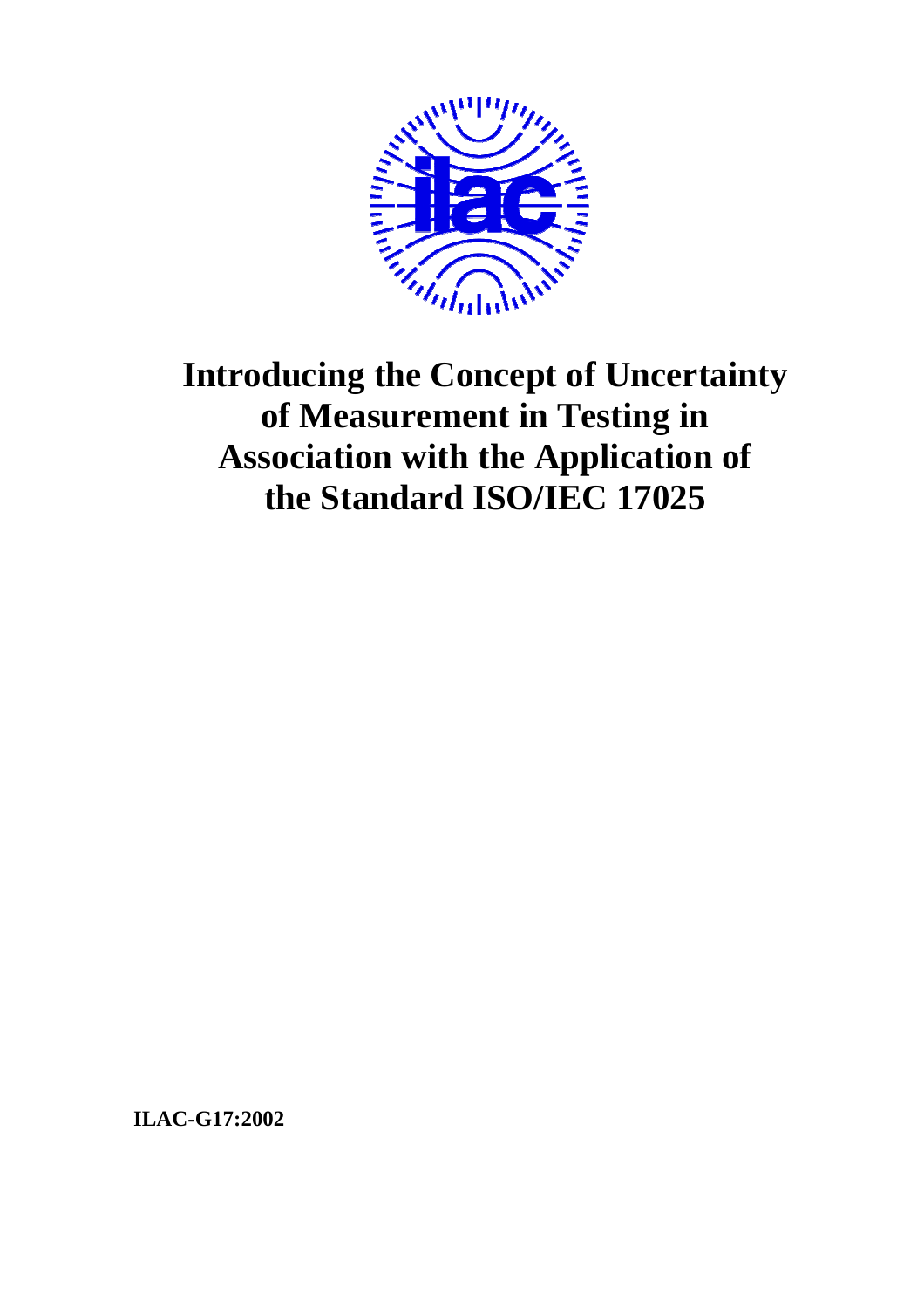

# **Introducing the Concept of Uncertainty of Measurement in Testing in Association with the Application of the Standard ISO/IEC 17025**

**ILAC-G17:2002**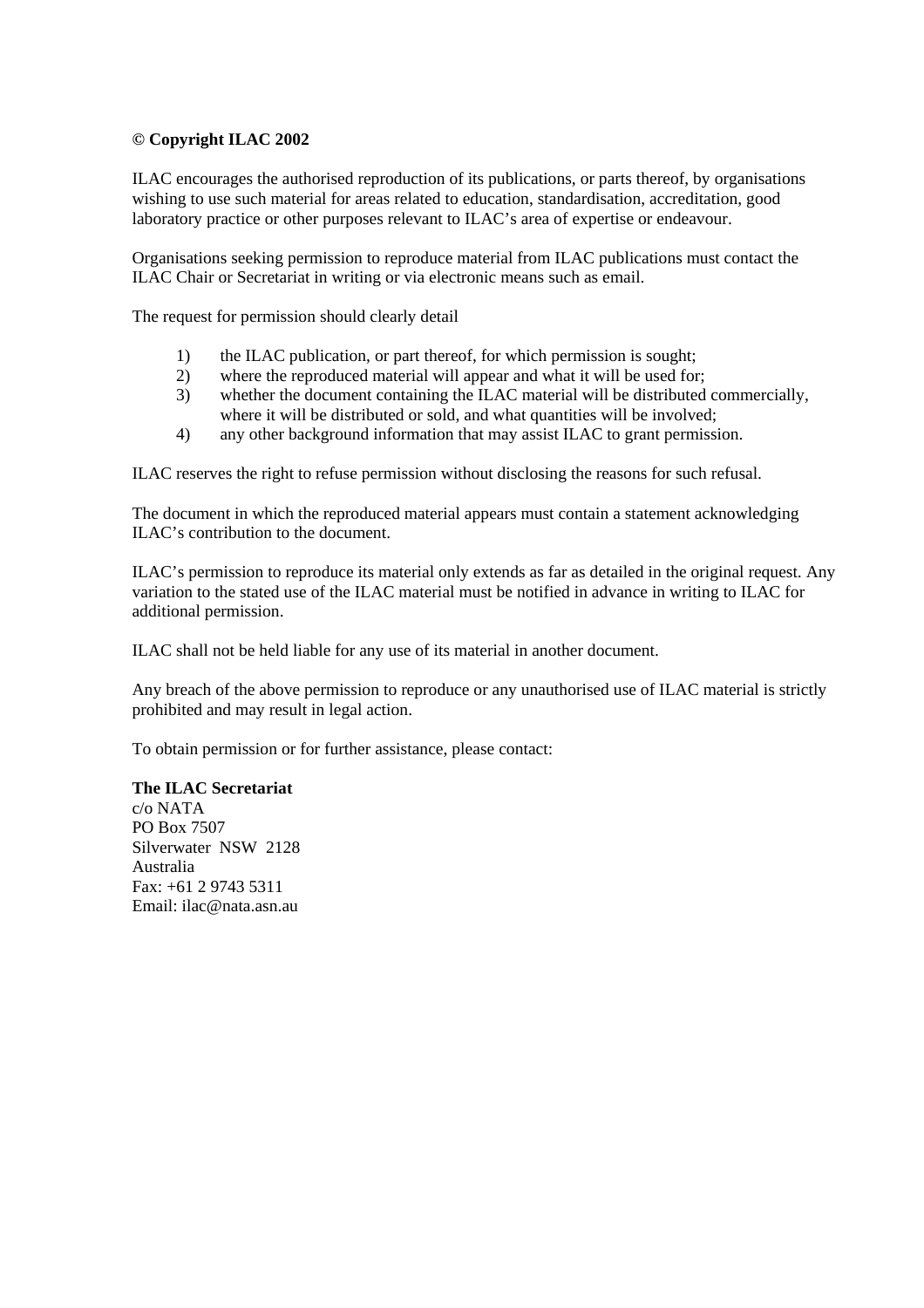#### **© Copyright ILAC 2002**

ILAC encourages the authorised reproduction of its publications, or parts thereof, by organisations wishing to use such material for areas related to education, standardisation, accreditation, good laboratory practice or other purposes relevant to ILAC's area of expertise or endeavour.

Organisations seeking permission to reproduce material from ILAC publications must contact the ILAC Chair or Secretariat in writing or via electronic means such as email.

The request for permission should clearly detail

- 1) the ILAC publication, or part thereof, for which permission is sought;
- 2) where the reproduced material will appear and what it will be used for;
- 3) whether the document containing the ILAC material will be distributed commercially, where it will be distributed or sold, and what quantities will be involved;
- 4) any other background information that may assist ILAC to grant permission.

ILAC reserves the right to refuse permission without disclosing the reasons for such refusal.

The document in which the reproduced material appears must contain a statement acknowledging ILAC's contribution to the document.

ILAC's permission to reproduce its material only extends as far as detailed in the original request. Any variation to the stated use of the ILAC material must be notified in advance in writing to ILAC for additional permission.

ILAC shall not be held liable for any use of its material in another document.

Any breach of the above permission to reproduce or any unauthorised use of ILAC material is strictly prohibited and may result in legal action.

To obtain permission or for further assistance, please contact:

#### **The ILAC Secretariat**

c/o NATA PO Box 7507 Silverwater NSW 2128 Australia  $Fax \div 61$  2 9743 5311 Email: ilac@nata.asn.au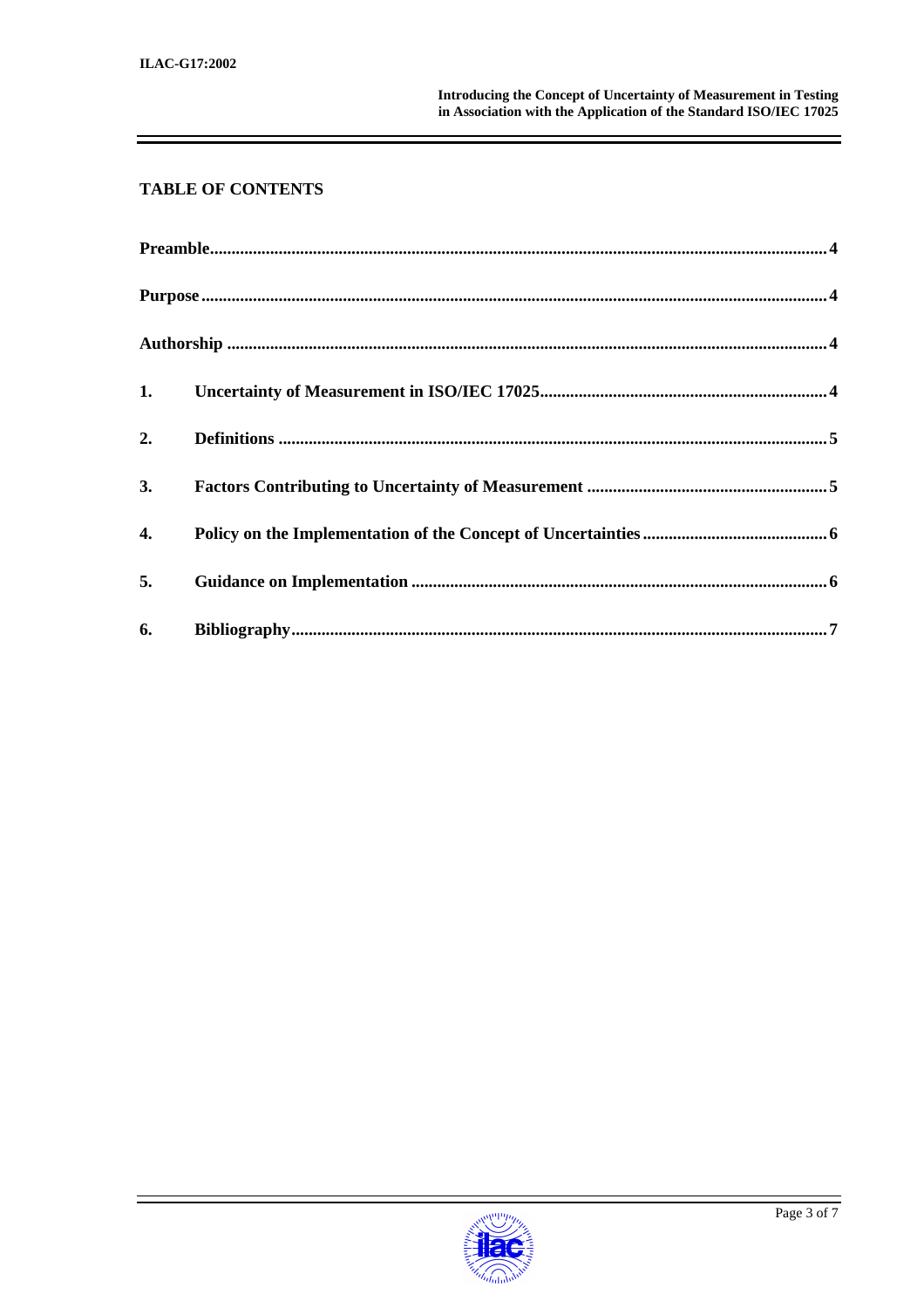## **TABLE OF CONTENTS**

| 1. |  |
|----|--|
| 2. |  |
| 3. |  |
| 4. |  |
| 5. |  |
| 6. |  |

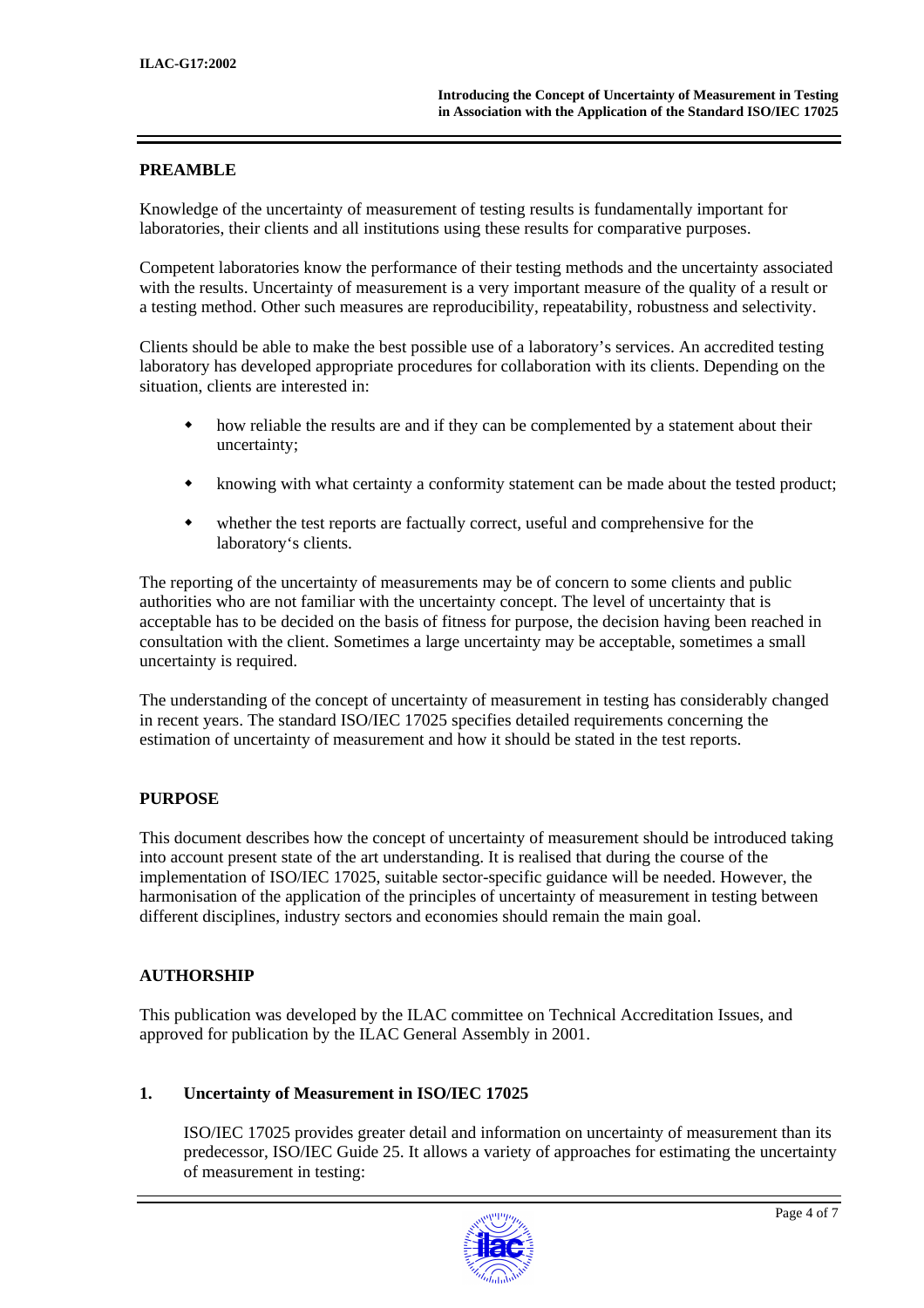### **PREAMBLE**

Knowledge of the uncertainty of measurement of testing results is fundamentally important for laboratories, their clients and all institutions using these results for comparative purposes.

Competent laboratories know the performance of their testing methods and the uncertainty associated with the results. Uncertainty of measurement is a very important measure of the quality of a result or a testing method. Other such measures are reproducibility, repeatability, robustness and selectivity.

Clients should be able to make the best possible use of a laboratory's services. An accredited testing laboratory has developed appropriate procedures for collaboration with its clients. Depending on the situation, clients are interested in:

- how reliable the results are and if they can be complemented by a statement about their uncertainty;
- knowing with what certainty a conformity statement can be made about the tested product;
- whether the test reports are factually correct, useful and comprehensive for the laboratory's clients.

The reporting of the uncertainty of measurements may be of concern to some clients and public authorities who are not familiar with the uncertainty concept. The level of uncertainty that is acceptable has to be decided on the basis of fitness for purpose, the decision having been reached in consultation with the client. Sometimes a large uncertainty may be acceptable, sometimes a small uncertainty is required.

The understanding of the concept of uncertainty of measurement in testing has considerably changed in recent years. The standard ISO/IEC 17025 specifies detailed requirements concerning the estimation of uncertainty of measurement and how it should be stated in the test reports.

#### **PURPOSE**

This document describes how the concept of uncertainty of measurement should be introduced taking into account present state of the art understanding. It is realised that during the course of the implementation of ISO/IEC 17025, suitable sector-specific guidance will be needed. However, the harmonisation of the application of the principles of uncertainty of measurement in testing between different disciplines, industry sectors and economies should remain the main goal.

## **AUTHORSHIP**

This publication was developed by the ILAC committee on Technical Accreditation Issues, and approved for publication by the ILAC General Assembly in 2001.

#### **1. Uncertainty of Measurement in ISO/IEC 17025**

ISO/IEC 17025 provides greater detail and information on uncertainty of measurement than its predecessor, ISO/IEC Guide 25. It allows a variety of approaches for estimating the uncertainty of measurement in testing:

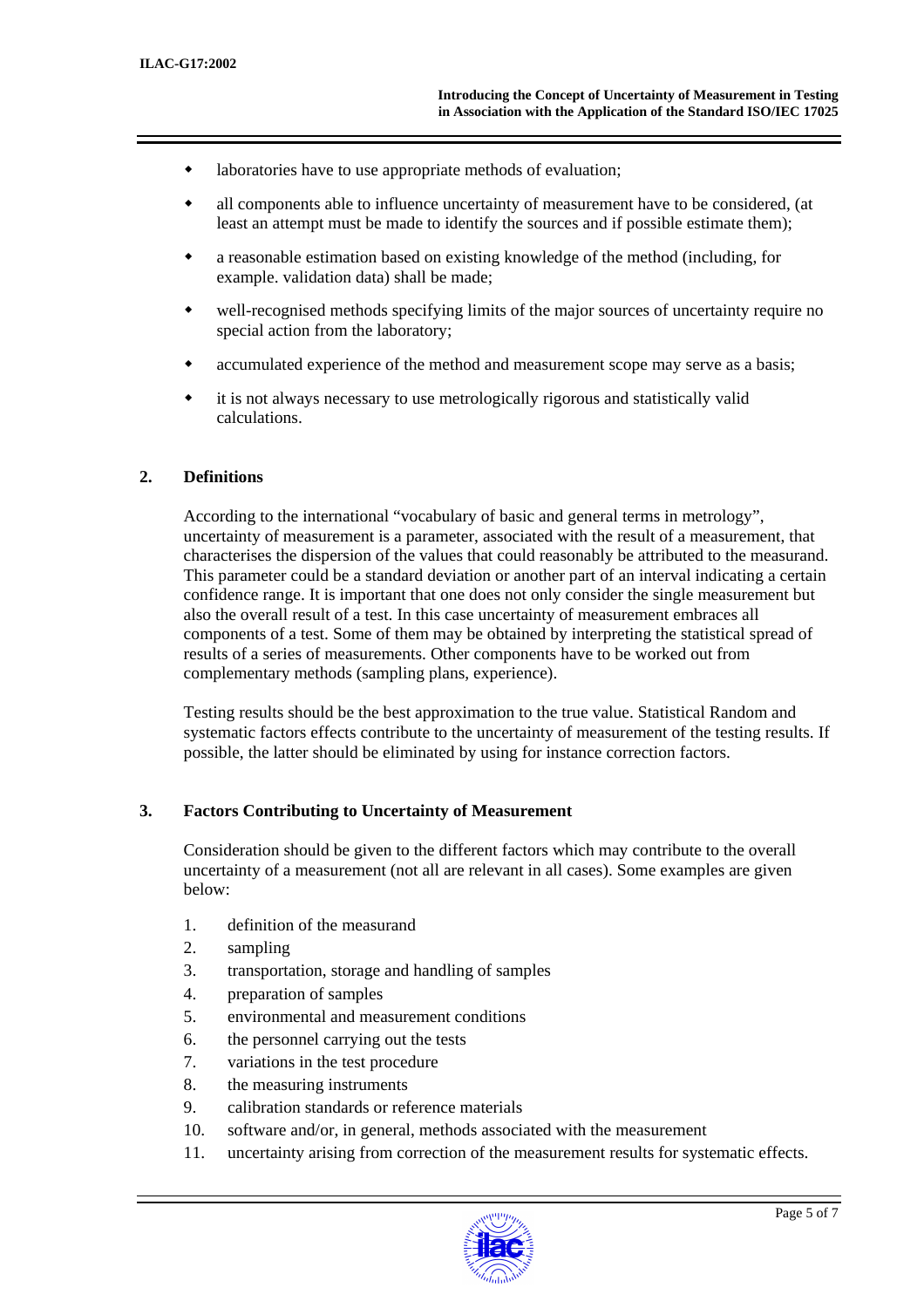- laboratories have to use appropriate methods of evaluation;
- all components able to influence uncertainty of measurement have to be considered, (at least an attempt must be made to identify the sources and if possible estimate them);
- a reasonable estimation based on existing knowledge of the method (including, for example. validation data) shall be made;
- well-recognised methods specifying limits of the major sources of uncertainty require no special action from the laboratory;
- accumulated experience of the method and measurement scope may serve as a basis;
- it is not always necessary to use metrologically rigorous and statistically valid calculations.

#### **2. Definitions**

According to the international "vocabulary of basic and general terms in metrology", uncertainty of measurement is a parameter, associated with the result of a measurement, that characterises the dispersion of the values that could reasonably be attributed to the measurand. This parameter could be a standard deviation or another part of an interval indicating a certain confidence range. It is important that one does not only consider the single measurement but also the overall result of a test. In this case uncertainty of measurement embraces all components of a test. Some of them may be obtained by interpreting the statistical spread of results of a series of measurements. Other components have to be worked out from complementary methods (sampling plans, experience).

Testing results should be the best approximation to the true value. Statistical Random and systematic factors effects contribute to the uncertainty of measurement of the testing results. If possible, the latter should be eliminated by using for instance correction factors.

#### **3. Factors Contributing to Uncertainty of Measurement**

Consideration should be given to the different factors which may contribute to the overall uncertainty of a measurement (not all are relevant in all cases). Some examples are given below:

- 1. definition of the measurand
- 2. sampling
- 3. transportation, storage and handling of samples
- 4. preparation of samples
- 5. environmental and measurement conditions
- 6. the personnel carrying out the tests
- 7. variations in the test procedure
- 8. the measuring instruments
- 9. calibration standards or reference materials
- 10. software and/or, in general, methods associated with the measurement
- 11. uncertainty arising from correction of the measurement results for systematic effects.

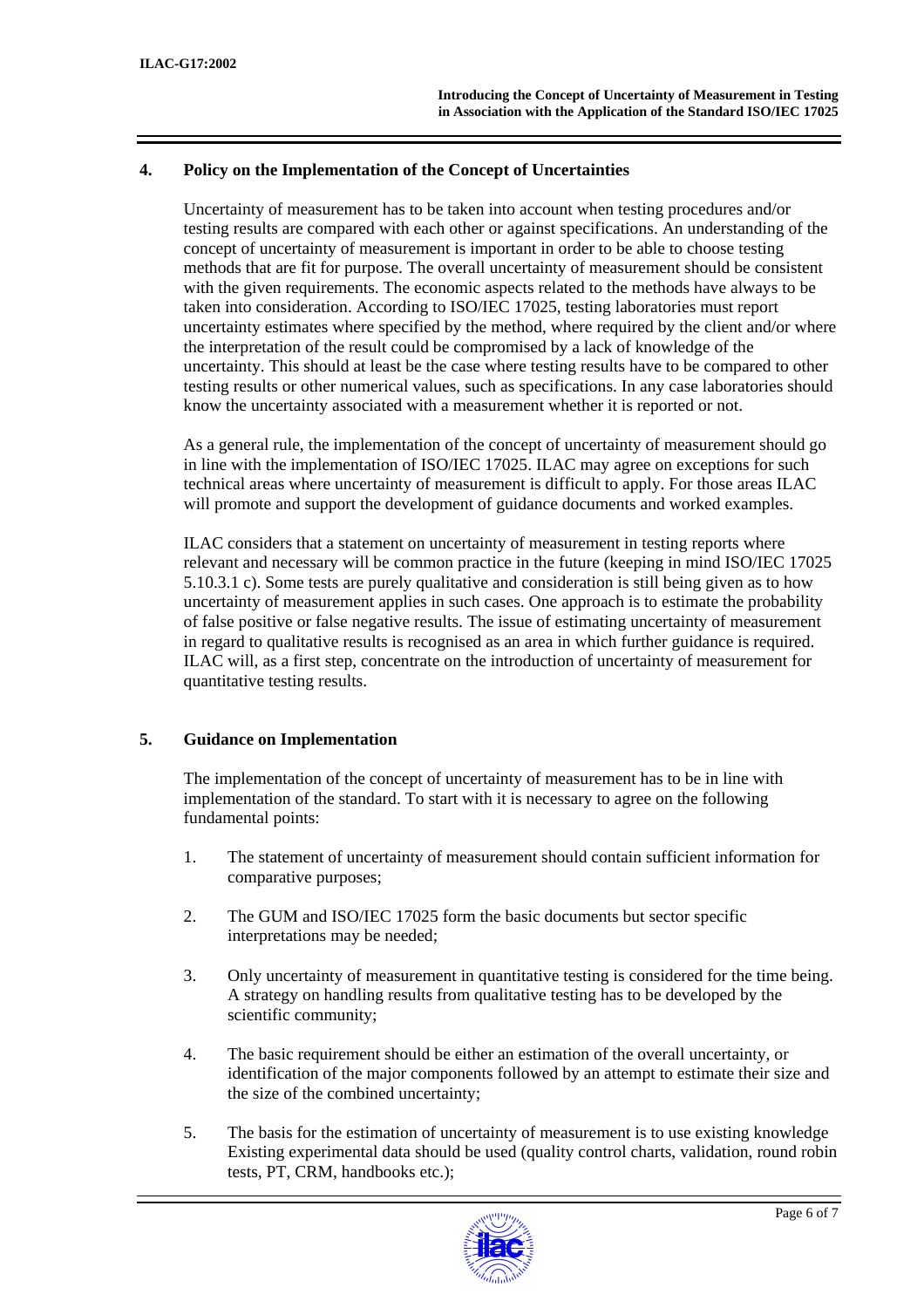#### **4. Policy on the Implementation of the Concept of Uncertainties**

Uncertainty of measurement has to be taken into account when testing procedures and/or testing results are compared with each other or against specifications. An understanding of the concept of uncertainty of measurement is important in order to be able to choose testing methods that are fit for purpose. The overall uncertainty of measurement should be consistent with the given requirements. The economic aspects related to the methods have always to be taken into consideration. According to ISO/IEC 17025, testing laboratories must report uncertainty estimates where specified by the method, where required by the client and/or where the interpretation of the result could be compromised by a lack of knowledge of the uncertainty. This should at least be the case where testing results have to be compared to other testing results or other numerical values, such as specifications. In any case laboratories should know the uncertainty associated with a measurement whether it is reported or not.

As a general rule, the implementation of the concept of uncertainty of measurement should go in line with the implementation of ISO/IEC 17025. ILAC may agree on exceptions for such technical areas where uncertainty of measurement is difficult to apply. For those areas ILAC will promote and support the development of guidance documents and worked examples.

ILAC considers that a statement on uncertainty of measurement in testing reports where relevant and necessary will be common practice in the future (keeping in mind ISO/IEC 17025 5.10.3.1 c). Some tests are purely qualitative and consideration is still being given as to how uncertainty of measurement applies in such cases. One approach is to estimate the probability of false positive or false negative results. The issue of estimating uncertainty of measurement in regard to qualitative results is recognised as an area in which further guidance is required. ILAC will, as a first step, concentrate on the introduction of uncertainty of measurement for quantitative testing results.

#### **5. Guidance on Implementation**

The implementation of the concept of uncertainty of measurement has to be in line with implementation of the standard. To start with it is necessary to agree on the following fundamental points:

- 1. The statement of uncertainty of measurement should contain sufficient information for comparative purposes;
- 2. The GUM and ISO/IEC 17025 form the basic documents but sector specific interpretations may be needed;
- 3. Only uncertainty of measurement in quantitative testing is considered for the time being. A strategy on handling results from qualitative testing has to be developed by the scientific community;
- 4. The basic requirement should be either an estimation of the overall uncertainty, or identification of the major components followed by an attempt to estimate their size and the size of the combined uncertainty;
- 5. The basis for the estimation of uncertainty of measurement is to use existing knowledge Existing experimental data should be used (quality control charts, validation, round robin tests, PT, CRM, handbooks etc.);